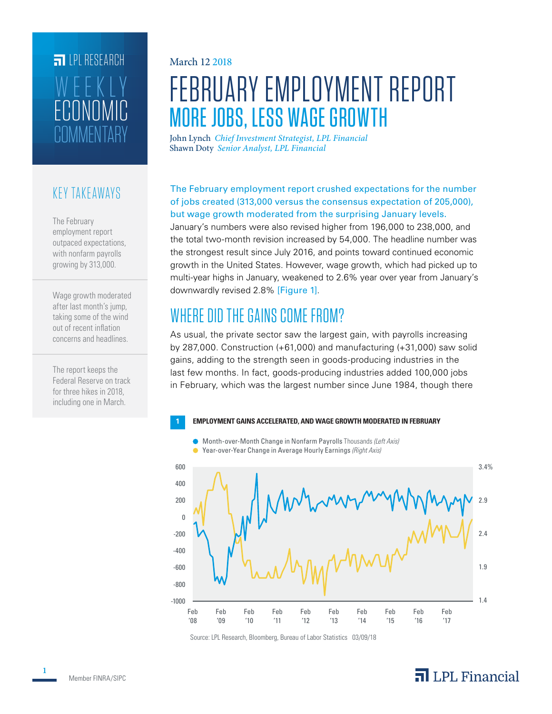# **ET LPL RESEARCH COMMENTARY** ECONOMIC WEEKLY

### KEY TAKEAWAYS

The February employment report outpaced expectations, with nonfarm payrolls growing by 313,000.

Wage growth moderated after last month's jump, taking some of the wind out of recent inflation concerns and headlines.

The report keeps the Federal Reserve on track for three hikes in 2018, including one in March.

#### March 12 2018

# FEBRUARY EMPLOYMENT REPORT MORE JOBS, LESS WAGE GROWTH

John Lynch *Chief Investment Strategist, LPL Financial* Shawn Doty *Senior Analyst, LPL Financial*

#### The February employment report crushed expectations for the number of jobs created (313,000 versus the consensus expectation of 205,000), but wage growth moderated from the surprising January levels.

January's numbers were also revised higher from 196,000 to 238,000, and the total two-month revision increased by 54,000. The headline number was the strongest result since July 2016, and points toward continued economic growth in the United States. However, wage growth, which had picked up to multi-year highs in January, weakened to 2.6% year over year from January's downwardly revised 2.8% [Figure 1].

## WHERE DID THE GAINS COME FROM?

As usual, the private sector saw the largest gain, with payrolls increasing by 287,000. Construction (+61,000) and manufacturing (+31,000) saw solid gains, adding to the strength seen in goods-producing industries in the last few months. In fact, goods-producing industries added 100,000 jobs in February, which was the largest number since June 1984, though there



Source: LPL Research, Bloomberg, Bureau of Labor Statistics 03/09/18

### $\overline{\mathbf{a}}$  LPL Financial

**1**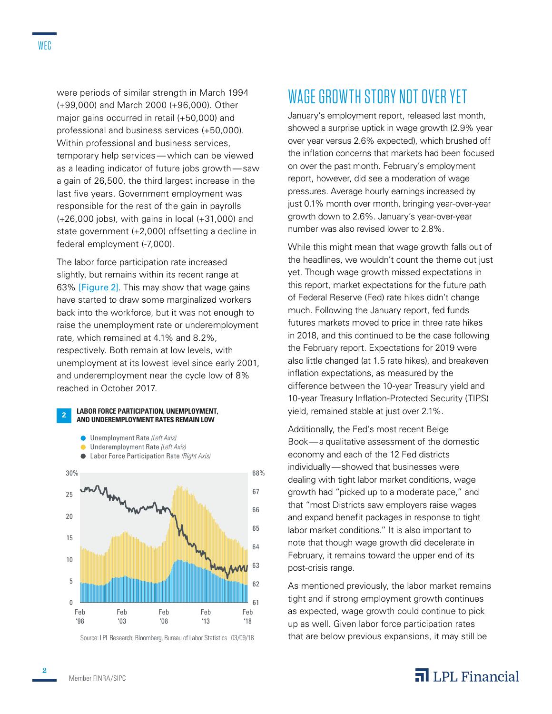were periods of similar strength in March 1994 (+99,000) and March 2000 (+96,000). Other major gains occurred in retail (+50,000) and professional and business services (+50,000). Within professional and business services, temporary help services—which can be viewed as a leading indicator of future jobs growth—saw a gain of 26,500, the third largest increase in the last five years. Government employment was responsible for the rest of the gain in payrolls (+26,000 jobs), with gains in local (+31,000) and state government (+2,000) offsetting a decline in federal employment (-7,000).

The labor force participation rate increased slightly, but remains within its recent range at 63% [Figure 2]. This may show that wage gains have started to draw some marginalized workers back into the workforce, but it was not enough to raise the unemployment rate or underemployment rate, which remained at 4.1% and 8.2%, respectively. Both remain at low levels, with unemployment at its lowest level since early 2001, and underemployment near the cycle low of 8% reached in October 2017.

#### **<sup>2</sup>LABOR FORCE PARTICIPATION, UNEMPLOYMENT, AND UNDEREMPLOYMENT RATES REMAIN LOW**





Labor Force Participation Rate *(Right Axis)*



Source: LPL Research, Bloomberg, Bureau of Labor Statistics 03/09/18

# WAGE GROWTH STORY NOT OVER YET

January's employment report, released last month, showed a surprise uptick in wage growth (2.9% year over year versus 2.6% expected), which brushed off the inflation concerns that markets had been focused on over the past month. February's employment report, however, did see a moderation of wage pressures. Average hourly earnings increased by just 0.1% month over month, bringing year-over-year growth down to 2.6%. January's year-over-year number was also revised lower to 2.8%.

While this might mean that wage growth falls out of the headlines, we wouldn't count the theme out just yet. Though wage growth missed expectations in this report, market expectations for the future path of Federal Reserve (Fed) rate hikes didn't change much. Following the January report, fed funds futures markets moved to price in three rate hikes in 2018, and this continued to be the case following the February report. Expectations for 2019 were also little changed (at 1.5 rate hikes), and breakeven inflation expectations, as measured by the difference between the 10-year Treasury yield and 10-year Treasury Inflation-Protected Security (TIPS) yield, remained stable at just over 2.1%.

Additionally, the Fed's most recent Beige Book—a qualitative assessment of the domestic economy and each of the 12 Fed districts individually—showed that businesses were dealing with tight labor market conditions, wage growth had "picked up to a moderate pace," and that "most Districts saw employers raise wages and expand benefit packages in response to tight labor market conditions." It is also important to note that though wage growth did decelerate in February, it remains toward the upper end of its post-crisis range.

As mentioned previously, the labor market remains tight and if strong employment growth continues as expected, wage growth could continue to pick up as well. Given labor force participation rates that are below previous expansions, it may still be

### $\overline{\mathbf{a}}$  LPL Financial

**2**